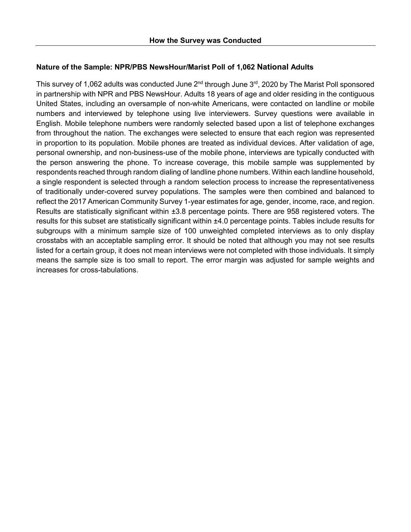# **Nature of the Sample: NPR/PBS NewsHour/Marist Poll of 1,062 National Adults**

This survey of 1,062 adults was conducted June  $2^{nd}$  through June  $3^{rd}$ , 2020 by The Marist Poll sponsored in partnership with NPR and PBS NewsHour. Adults 18 years of age and older residing in the contiguous United States, including an oversample of non-white Americans, were contacted on landline or mobile numbers and interviewed by telephone using live interviewers. Survey questions were available in English. Mobile telephone numbers were randomly selected based upon a list of telephone exchanges from throughout the nation. The exchanges were selected to ensure that each region was represented in proportion to its population. Mobile phones are treated as individual devices. After validation of age, personal ownership, and non-business-use of the mobile phone, interviews are typically conducted with the person answering the phone. To increase coverage, this mobile sample was supplemented by respondents reached through random dialing of landline phone numbers. Within each landline household, a single respondent is selected through a random selection process to increase the representativeness of traditionally under-covered survey populations. The samples were then combined and balanced to reflect the 2017 American Community Survey 1-year estimates for age, gender, income, race, and region. Results are statistically significant within ±3.8 percentage points. There are 958 registered voters. The results for this subset are statistically significant within ±4.0 percentage points. Tables include results for subgroups with a minimum sample size of 100 unweighted completed interviews as to only display crosstabs with an acceptable sampling error. It should be noted that although you may not see results listed for a certain group, it does not mean interviews were not completed with those individuals. It simply means the sample size is too small to report. The error margin was adjusted for sample weights and increases for cross-tabulations.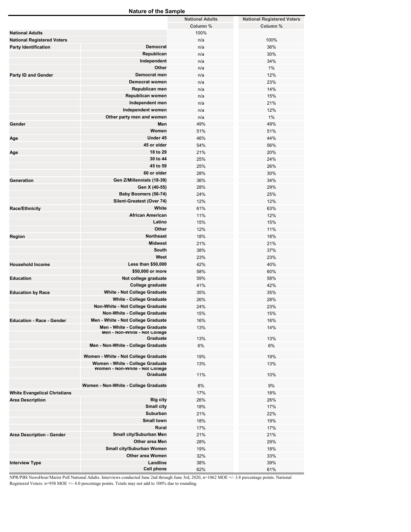| <b>Nature of the Sample</b>         |                                      |                        |                                   |  |  |
|-------------------------------------|--------------------------------------|------------------------|-----------------------------------|--|--|
|                                     |                                      | <b>National Adults</b> | <b>National Registered Voters</b> |  |  |
|                                     |                                      | Column %               | Column %                          |  |  |
| <b>National Adults</b>              |                                      | 100%                   |                                   |  |  |
|                                     |                                      | n/a                    | 100%                              |  |  |
| <b>National Registered Voters</b>   | <b>Democrat</b>                      |                        |                                   |  |  |
| <b>Party Identification</b>         |                                      | n/a                    | 36%                               |  |  |
|                                     | Republican                           | n/a                    | 30%                               |  |  |
|                                     | Independent                          | n/a                    | 34%                               |  |  |
|                                     | Other                                | n/a                    | 1%                                |  |  |
| <b>Party ID and Gender</b>          | Democrat men                         | n/a                    | 12%                               |  |  |
|                                     | Democrat women                       | n/a                    | 23%                               |  |  |
|                                     | Republican men                       | n/a                    | 14%                               |  |  |
|                                     | Republican women                     | n/a                    | 15%                               |  |  |
|                                     | Independent men                      | n/a                    | 21%                               |  |  |
|                                     | Independent women                    | n/a                    | 12%                               |  |  |
|                                     | Other party men and women            | n/a                    | 1%                                |  |  |
| Gender                              | Men                                  | 49%                    | 49%                               |  |  |
|                                     | Women                                | 51%                    | 51%                               |  |  |
|                                     | Under 45                             |                        |                                   |  |  |
| Age                                 |                                      | 46%                    | 44%                               |  |  |
|                                     | 45 or older                          | 54%                    | 56%                               |  |  |
| Age                                 | 18 to 29                             | 21%                    | 20%                               |  |  |
|                                     | 30 to 44                             | 25%                    | 24%                               |  |  |
|                                     | 45 to 59                             | 25%                    | 26%                               |  |  |
|                                     | 60 or older                          | 28%                    | 30%                               |  |  |
| Generation                          | Gen Z/Millennials (18-39)            | 36%                    | 34%                               |  |  |
|                                     | Gen X (40-55)                        | 28%                    | 29%                               |  |  |
|                                     | Baby Boomers (56-74)                 | 24%                    | 25%                               |  |  |
|                                     | Silent-Greatest (Over 74)            | 12%                    | 12%                               |  |  |
| Race/Ethnicity                      | White                                | 61%                    | 63%                               |  |  |
|                                     | <b>African American</b>              | 11%                    | 12%                               |  |  |
|                                     | Latino                               | 15%                    | 15%                               |  |  |
|                                     | Other                                |                        |                                   |  |  |
|                                     |                                      | 12%                    | 11%                               |  |  |
| Region                              | <b>Northeast</b>                     | 18%                    | 18%                               |  |  |
|                                     | <b>Midwest</b>                       | 21%                    | 21%                               |  |  |
|                                     | South                                | 38%                    | 37%                               |  |  |
|                                     | West                                 | 23%                    | 23%                               |  |  |
| <b>Household Income</b>             | Less than \$50,000                   | 42%                    | 40%                               |  |  |
|                                     | \$50,000 or more                     | 58%                    | 60%                               |  |  |
| <b>Education</b>                    | Not college graduate                 | 59%                    | 58%                               |  |  |
|                                     | College graduate                     | 41%                    | 42%                               |  |  |
| <b>Education by Race</b>            | <b>White - Not College Graduate</b>  | 35%                    | 35%                               |  |  |
|                                     | <b>White - College Graduate</b>      | 26%                    | 28%                               |  |  |
|                                     | Non-White - Not College Graduate     | 24%                    | 23%                               |  |  |
|                                     | Non-White - College Graduate         | 15%                    | 15%                               |  |  |
| <b>Education - Race - Gender</b>    | Men - White - Not College Graduate   | 16%                    | 16%                               |  |  |
|                                     | Men - White - College Graduate       | 13%                    | 14%                               |  |  |
|                                     | Men - Non-White - Not College        |                        |                                   |  |  |
|                                     | Graduate                             | 13%                    | 13%                               |  |  |
|                                     | Men - Non-White - College Graduate   | 6%                     | 6%                                |  |  |
|                                     |                                      |                        |                                   |  |  |
|                                     | Women - White - Not College Graduate | 19%                    | 19%                               |  |  |
|                                     | Women - White - College Graduate     | 13%                    | 13%                               |  |  |
|                                     | Women - Non-White - Not College      |                        |                                   |  |  |
|                                     | Graduate                             | 11%                    | 10%                               |  |  |
|                                     | Women - Non-White - College Graduate | 8%                     | 9%                                |  |  |
| <b>White Evangelical Christians</b> |                                      | 17%                    | 18%                               |  |  |
| <b>Area Description</b>             | <b>Big city</b>                      | 26%                    | 26%                               |  |  |
|                                     | <b>Small city</b>                    | 18%                    | 17%                               |  |  |
|                                     |                                      |                        |                                   |  |  |
|                                     | Suburban                             | 21%                    | 22%                               |  |  |
|                                     | <b>Small town</b>                    | 18%                    | 19%                               |  |  |
|                                     | Rural                                | 17%                    | 17%                               |  |  |
| Area Description - Gender           | Small city/Suburban Men              | 21%                    | 21%                               |  |  |
|                                     | Other area Men                       | 28%                    | 29%                               |  |  |
|                                     | Small city/Suburban Women            | 19%                    | 18%                               |  |  |
|                                     | <b>Other area Women</b>              | 32%                    | 33%                               |  |  |
| <b>Interview Type</b>               | Landline                             | 38%                    | 39%                               |  |  |
|                                     | Cell phone                           | 62%                    | 61%                               |  |  |

NPR/PBS NewsHour/Marist Poll National Adults. Interviews conducted June 2nd through June 3rd, 2020, n=1062 MOE +/- 3.8 percentage points. National Registered Voters: n=958 MOE +/- 4.0 percentage points. Totals may not add to 100% due to rounding.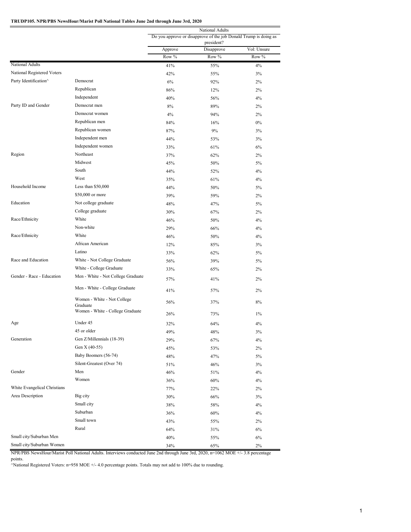#### **TRUDP105. NPR/PBS NewsHour/Marist Poll National Tables June 2nd through June 3rd, 2020**

|                              |                                              | National Adults<br>Do you approve or disapprove of the job Donald Trump is doing as<br>president? |            |             |  |
|------------------------------|----------------------------------------------|---------------------------------------------------------------------------------------------------|------------|-------------|--|
|                              |                                              | Approve                                                                                           | Disapprove | Vol: Unsure |  |
|                              |                                              | Row %                                                                                             | Row %      | Row %       |  |
| National Adults              |                                              | 41%                                                                                               | 55%        | 4%          |  |
| National Registered Voters   |                                              | 42%                                                                                               | 55%        | 3%          |  |
| Party Identification^        | Democrat                                     | 6%                                                                                                | 92%        | 2%          |  |
|                              | Republican                                   | 86%                                                                                               | 12%        | 2%          |  |
|                              | Independent                                  | 40%                                                                                               | 56%        | 4%          |  |
| Party ID and Gender          | Democrat men                                 | 8%                                                                                                | 89%        | 2%          |  |
|                              | Democrat women                               | 4%                                                                                                | 94%        | 2%          |  |
|                              | Republican men                               | 84%                                                                                               | 16%        | $0\%$       |  |
|                              | Republican women                             | 87%                                                                                               | 9%         | 3%          |  |
|                              | Independent men                              | 44%                                                                                               | 53%        | 3%          |  |
|                              | Independent women                            | 33%                                                                                               | 61%        | 6%          |  |
| Region                       | Northeast                                    | 37%                                                                                               | 62%        | 2%          |  |
|                              | Midwest                                      | 45%                                                                                               | 50%        | 5%          |  |
|                              | South                                        | 44%                                                                                               | 52%        | 4%          |  |
|                              | West                                         | 35%                                                                                               | 61%        | 4%          |  |
| Household Income             | Less than \$50,000                           | 44%                                                                                               | 50%        | 5%          |  |
|                              | \$50,000 or more                             | 39%                                                                                               | 59%        | 2%          |  |
| Education                    | Not college graduate                         | 48%                                                                                               | 47%        | $5\%$       |  |
|                              | College graduate                             | 30%                                                                                               | 67%        | 2%          |  |
| Race/Ethnicity               | White                                        | 46%                                                                                               | 50%        | 4%          |  |
|                              | Non-white                                    | 29%                                                                                               | 66%        | 4%          |  |
| Race/Ethnicity               | White                                        | 46%                                                                                               | 50%        | 4%          |  |
|                              | African American                             | 12%                                                                                               | 85%        | 3%          |  |
|                              | Latino                                       | 33%                                                                                               | 62%        | 5%          |  |
| Race and Education           | White - Not College Graduate                 | 56%                                                                                               | 39%        | 5%          |  |
|                              | White - College Graduate                     | 33%                                                                                               | 65%        | 2%          |  |
| Gender - Race - Education    | Men - White - Not College Graduate           | 57%                                                                                               | 41%        | 2%          |  |
|                              | Men - White - College Graduate               | 41%                                                                                               | 57%        | 2%          |  |
|                              | Women - White - Not College                  | 56%                                                                                               | 37%        | 8%          |  |
|                              | Graduate<br>Women - White - College Graduate | 26%                                                                                               | 73%        | $1\%$       |  |
| Age                          | Under 45                                     | 32%                                                                                               | 64%        | 4%          |  |
|                              | 45 or older                                  | 49%                                                                                               | 48%        | 3%          |  |
| Generation                   | Gen Z/Millennials (18-39)                    | 29%                                                                                               | 67%        | 4%          |  |
|                              | Gen X (40-55)                                | 45%                                                                                               | 53%        | 2%          |  |
|                              | Baby Boomers (56-74)                         | 48%                                                                                               | 47%        | 5%          |  |
|                              | Silent-Greatest (Over 74)                    | 51%                                                                                               | 46%        | 3%          |  |
| Gender                       | Men                                          | 46%                                                                                               | 51%        | 4%          |  |
|                              | Women                                        | 36%                                                                                               | 60%        | 4%          |  |
| White Evangelical Christians |                                              | 77%                                                                                               | 22%        | 2%          |  |
| Area Description             | Big city                                     | 30%                                                                                               | 66%        | 3%          |  |
|                              | Small city                                   | 38%                                                                                               | 58%        | 4%          |  |
|                              | Suburban                                     | 36%                                                                                               | 60%        | 4%          |  |
|                              | Small town                                   | 43%                                                                                               | 55%        | 2%          |  |
|                              | Rural                                        | 64%                                                                                               | 31%        | 6%          |  |
| Small city/Suburban Men      |                                              | 40%                                                                                               | 55%        | 6%          |  |
| Small city/Suburban Women    |                                              | 34%                                                                                               | 65%        | 2%          |  |

NPR/PBS NewsHour/Marist Poll National Adults. Interviews conducted June 2nd through June 3rd, 2020, n=1062 MOE +/- 3.8 percentage

points.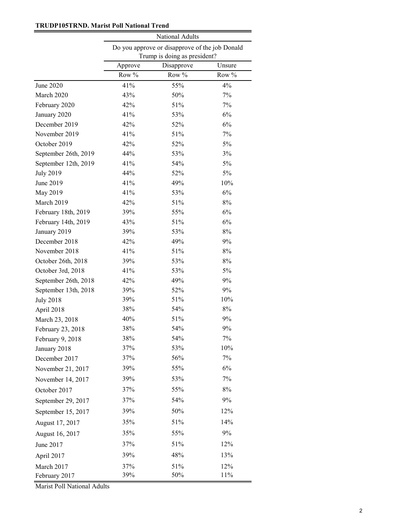## **TRUDP105TRND. Marist Poll National Trend**

|                      | National Adults |                                                                                |        |  |  |  |
|----------------------|-----------------|--------------------------------------------------------------------------------|--------|--|--|--|
|                      |                 | Do you approve or disapprove of the job Donald<br>Trump is doing as president? |        |  |  |  |
|                      | Approve         | Disapprove                                                                     | Unsure |  |  |  |
|                      | Row %           | Row %                                                                          | Row %  |  |  |  |
| June 2020            | 41%             | 55%                                                                            | 4%     |  |  |  |
| March 2020           | 43%             | 50%                                                                            | 7%     |  |  |  |
| February 2020        | 42%             | 51%                                                                            | 7%     |  |  |  |
| January 2020         | 41%             | 53%                                                                            | 6%     |  |  |  |
| December 2019        | 42%             | 52%                                                                            | 6%     |  |  |  |
| November 2019        | 41%             | 51%                                                                            | 7%     |  |  |  |
| October 2019         | 42%             | 52%                                                                            | 5%     |  |  |  |
| September 26th, 2019 | 44%             | 53%                                                                            | 3%     |  |  |  |
| September 12th, 2019 | 41%             | 54%                                                                            | 5%     |  |  |  |
| <b>July 2019</b>     | 44%             | 52%                                                                            | 5%     |  |  |  |
| June 2019            | 41%             | 49%                                                                            | 10%    |  |  |  |
| May 2019             | 41%             | 53%                                                                            | 6%     |  |  |  |
| March 2019           | 42%             | 51%                                                                            | $8\%$  |  |  |  |
| February 18th, 2019  | 39%             | 55%                                                                            | 6%     |  |  |  |
| February 14th, 2019  | 43%             | 51%                                                                            | 6%     |  |  |  |
| January 2019         | 39%             | 53%                                                                            | $8\%$  |  |  |  |
| December 2018        | 42%             | 49%                                                                            | 9%     |  |  |  |
| November 2018        | 41%             | 51%                                                                            | $8\%$  |  |  |  |
| October 26th, 2018   | 39%             | 53%                                                                            | $8\%$  |  |  |  |
| October 3rd, 2018    | 41%             | 53%                                                                            | 5%     |  |  |  |
| September 26th, 2018 | 42%             | 49%                                                                            | 9%     |  |  |  |
| September 13th, 2018 | 39%             | 52%                                                                            | 9%     |  |  |  |
| <b>July 2018</b>     | 39%             | 51%                                                                            | 10%    |  |  |  |
| April 2018           | 38%             | 54%                                                                            | $8\%$  |  |  |  |
| March 23, 2018       | 40%             | 51%                                                                            | 9%     |  |  |  |
| February 23, 2018    | 38%             | 54%                                                                            | 9%     |  |  |  |
| February 9, 2018     | 38%             | 54%                                                                            | 7%     |  |  |  |
| January 2018         | 37%             | 53%                                                                            | 10%    |  |  |  |
| December 2017        | 37%             | 56%                                                                            | 7%     |  |  |  |
| November 21, 2017    | 39%             | 55%                                                                            | 6%     |  |  |  |
| November 14, 2017    | 39%             | 53%                                                                            | 7%     |  |  |  |
| October 2017         | 37%             | 55%                                                                            | $8\%$  |  |  |  |
| September 29, 2017   | 37%             | 54%                                                                            | 9%     |  |  |  |
| September 15, 2017   | 39%             | 50%                                                                            | 12%    |  |  |  |
| August 17, 2017      | 35%             | 51%                                                                            | 14%    |  |  |  |
| August 16, 2017      | 35%             | 55%                                                                            | 9%     |  |  |  |
| June 2017            | 37%             | 51%                                                                            | 12%    |  |  |  |
| April 2017           | 39%             | 48%                                                                            | 13%    |  |  |  |
| March 2017           | 37%             | 51%                                                                            | 12%    |  |  |  |
| February 2017        | 39%             | 50%                                                                            | 11%    |  |  |  |

Marist Poll National Adults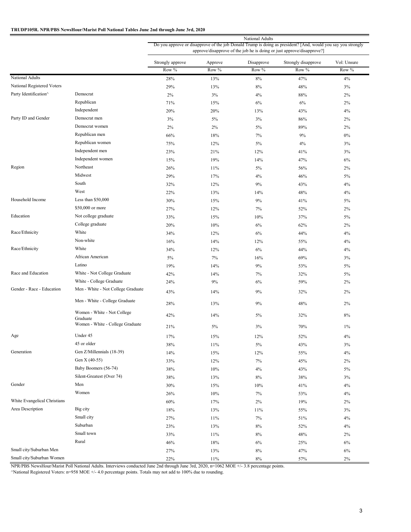### **TRUDP105R. NPR/PBS NewsHour/Marist Poll National Tables June 2nd through June 3rd, 2020**

|                              |                                              |                  |         | National Adults |                                                                                                                                                                                        |             |
|------------------------------|----------------------------------------------|------------------|---------|-----------------|----------------------------------------------------------------------------------------------------------------------------------------------------------------------------------------|-------------|
|                              |                                              |                  |         |                 | Do you approve or disapprove of the job Donald Trump is doing as president? [And, would you say you strongly<br>approve/disapprove of the job he is doing or just approve/disapprove?] |             |
|                              |                                              | Strongly approve | Approve | Disapprove      | Strongly disapprove                                                                                                                                                                    | Vol: Unsure |
|                              |                                              | Row %            | Row %   | Row %           | Row %                                                                                                                                                                                  | Row %       |
| National Adults              |                                              | 28%              | 13%     | $8\%$           | 47%                                                                                                                                                                                    | 4%          |
| National Registered Voters   |                                              | 29%              | 13%     | 8%              | 48%                                                                                                                                                                                    | 3%          |
| Party Identification^        | Democrat                                     | $2\%$            | 3%      | 4%              | 88%                                                                                                                                                                                    | 2%          |
|                              | Republican                                   | 71%              | 15%     | 6%              | 6%                                                                                                                                                                                     | 2%          |
|                              | Independent                                  | 20%              | 20%     | 13%             | 43%                                                                                                                                                                                    | 4%          |
| Party ID and Gender          | Democrat men                                 | 3%               | 5%      | 3%              | 86%                                                                                                                                                                                    | 2%          |
|                              | Democrat women                               | 2%               | 2%      | 5%              | 89%                                                                                                                                                                                    | 2%          |
|                              | Republican men                               | 66%              | 18%     | 7%              | 9%                                                                                                                                                                                     | $0\%$       |
|                              | Republican women                             | 75%              | 12%     | 5%              | 4%                                                                                                                                                                                     | 3%          |
|                              | Independent men                              | 23%              | 21%     | 12%             | 41%                                                                                                                                                                                    | 3%          |
|                              | Independent women                            | 15%              | 19%     | 14%             | 47%                                                                                                                                                                                    | 6%          |
| Region                       | Northeast                                    | 26%              | 11%     | 5%              | 56%                                                                                                                                                                                    | 2%          |
|                              | Midwest                                      | 29%              | 17%     | 4%              | 46%                                                                                                                                                                                    | 5%          |
|                              | South                                        | 32%              | 12%     | 9%              | 43%                                                                                                                                                                                    | 4%          |
|                              | West                                         | 22%              | 13%     | 14%             | 48%                                                                                                                                                                                    | 4%          |
| Household Income             | Less than \$50,000                           | 30%              | 15%     | $9\%$           | 41%                                                                                                                                                                                    | 5%          |
|                              | \$50,000 or more                             | 27%              | 12%     | 7%              | 52%                                                                                                                                                                                    | 2%          |
| Education                    | Not college graduate                         | 33%              | 15%     | 10%             | 37%                                                                                                                                                                                    | 5%          |
|                              | College graduate                             | 20%              | 10%     | 6%              | 62%                                                                                                                                                                                    | 2%          |
| Race/Ethnicity               | White                                        | 34%              | 12%     | 6%              | 44%                                                                                                                                                                                    | 4%          |
|                              | Non-white                                    | 16%              | 14%     | 12%             | 55%                                                                                                                                                                                    | 4%          |
| Race/Ethnicity               | White                                        | 34%              | 12%     | 6%              | 44%                                                                                                                                                                                    | 4%          |
|                              | African American                             | $5\%$            | 7%      | 16%             | 69%                                                                                                                                                                                    | 3%          |
|                              | Latino                                       | 19%              | 14%     | 9%              | 53%                                                                                                                                                                                    | 5%          |
| Race and Education           | White - Not College Graduate                 | 42%              | 14%     | 7%              | 32%                                                                                                                                                                                    | 5%          |
|                              | White - College Graduate                     | 24%              | 9%      | 6%              | 59%                                                                                                                                                                                    | 2%          |
| Gender - Race - Education    | Men - White - Not College Graduate           | 43%              | 14%     | 9%              | 32%                                                                                                                                                                                    | 2%          |
|                              | Men - White - College Graduate               | 28%              | 13%     | 9%              | 48%                                                                                                                                                                                    | 2%          |
|                              | Women - White - Not College                  | 42%              | 14%     | 5%              | 32%                                                                                                                                                                                    | 8%          |
|                              | Graduate<br>Women - White - College Graduate |                  |         |                 |                                                                                                                                                                                        |             |
|                              |                                              | 21%              | 5%      | 3%              | 70%                                                                                                                                                                                    | $1\%$       |
| Age                          | Under 45                                     | 17%              | 15%     | 12%             | 52%                                                                                                                                                                                    | 4%          |
|                              | 45 or older                                  | 38%              | 11%     | 5%              | 43%                                                                                                                                                                                    | 3%          |
| Generation                   | Gen Z/Millennials (18-39)                    | 14%              | 15%     | 12%             | 55%                                                                                                                                                                                    | 4%          |
|                              | Gen X (40-55)                                | 33%              | 12%     | 7%              | 45%                                                                                                                                                                                    | 2%          |
|                              | Baby Boomers (56-74)                         | 38%              | 10%     | 4%              | 43%                                                                                                                                                                                    | 5%          |
|                              | Silent-Greatest (Over 74)                    | 38%              | 13%     | 8%              | 38%                                                                                                                                                                                    | 3%          |
| Gender                       | Men                                          | 30%              | 15%     | 10%             | 41%                                                                                                                                                                                    | 4%          |
|                              | Women                                        | 26%              | 10%     | 7%              | 53%                                                                                                                                                                                    | 4%          |
| White Evangelical Christians |                                              | 60%              | 17%     | 2%              | 19%                                                                                                                                                                                    | 2%          |
| Area Description             | Big city                                     | 18%              | 13%     | 11%             | 55%                                                                                                                                                                                    | 3%          |
|                              | Small city                                   | 27%              | 11%     | 7%              | 51%                                                                                                                                                                                    | 4%          |
|                              | Suburban                                     | 23%              | 13%     | 8%              | 52%                                                                                                                                                                                    | 4%          |
|                              | Small town                                   | 33%              | 11%     | 8%              | 48%                                                                                                                                                                                    | 2%          |
|                              | Rural                                        | 46%              | 18%     | 6%              | 25%                                                                                                                                                                                    | 6%          |
| Small city/Suburban Men      |                                              | 27%              | 13%     | 8%              | 47%                                                                                                                                                                                    | 6%          |
| Small city/Suburban Women    |                                              | 22%              | 11%     | $8\%$           | 57%                                                                                                                                                                                    | $2\%$       |

NPR/PBS NewsHour/Marist Poll National Adults. Interviews conducted June 2nd through June 3rd, 2020, n=1062 MOE +/- 3.8 percentage points.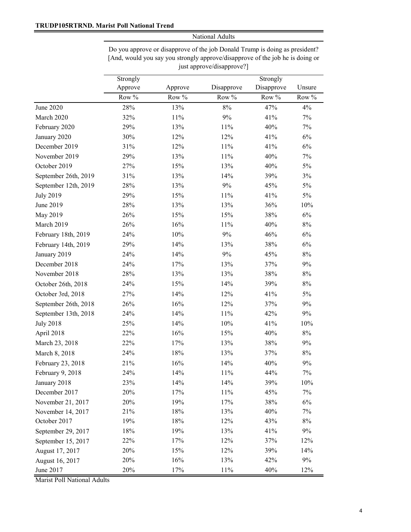Do you approve or disapprove of the job Donald Trump is doing as president? [And, would you say you strongly approve/disapprove of the job he is doing or just approve/disapprove?]

|                      | Strongly           |        |            | Strongly   |        |  |
|----------------------|--------------------|--------|------------|------------|--------|--|
|                      | Approve<br>Approve |        | Disapprove | Disapprove | Unsure |  |
|                      | Row %              | Row %  | Row %      | Row %      | Row %  |  |
| June 2020            | 28%                | 13%    | $8\%$      | 47%        | 4%     |  |
| March 2020           | 32%                | $11\%$ | $9\%$      | 41%        | 7%     |  |
| February 2020        | 29%                | 13%    | 11%        | 40%        | $7\%$  |  |
| January 2020         | 30%                | 12%    | 12%        | 41%        | $6\%$  |  |
| December 2019        | 31%                | 12%    | 11%        | 41%        | 6%     |  |
| November 2019        | 29%                | 13%    | 11%        | 40%        | 7%     |  |
| October 2019         | 27%                | 15%    | 13%        | 40%        | $5\%$  |  |
| September 26th, 2019 | 31%                | 13%    | 14%        | 39%        | $3\%$  |  |
| September 12th, 2019 | 28%                | 13%    | $9\%$      | 45%        | 5%     |  |
| <b>July 2019</b>     | 29%                | 15%    | 11%        | 41%        | $5\%$  |  |
| June 2019            | 28%                | 13%    | 13%        | 36%        | $10\%$ |  |
| May 2019             | 26%                | 15%    | 15%        | 38%        | $6\%$  |  |
| March 2019           | 26%                | 16%    | 11%        | 40%        | $8\%$  |  |
| February 18th, 2019  | 24%                | 10%    | $9\%$      | 46%        | $6\%$  |  |
| February 14th, 2019  | 29%                | 14%    | 13%        | 38%        | $6\%$  |  |
| January 2019         | 24%                | 14%    | $9\%$      | 45%        | $8\%$  |  |
| December 2018        | 24%                | 17%    | 13%        | 37%        | 9%     |  |
| November 2018        | 28%                | 13%    | 13%        | 38%        | $8\%$  |  |
| October 26th, 2018   | 24%                | 15%    | 14%        | 39%        | $8\%$  |  |
| October 3rd, 2018    | 27%                | 14%    | 12%        | 41%        | 5%     |  |
| September 26th, 2018 | 26%                | 16%    | 12%        | 37%        | 9%     |  |
| September 13th, 2018 | 24%                | 14%    | $11\%$     | 42%        | 9%     |  |
| <b>July 2018</b>     | 25%                | 14%    | 10%        | 41%        | $10\%$ |  |
| April 2018           | 22%                | 16%    | 15%        | 40%        | $8\%$  |  |
| March 23, 2018       | 22%                | 17%    | 13%        | 38%        | $9\%$  |  |
| March 8, 2018        | 24%                | $18\%$ | 13%        | 37%        | $8\%$  |  |
| February 23, 2018    | 21%                | 16%    | 14%        | 40%        | 9%     |  |
| February 9, 2018     | 24%                | $14\%$ | $11\%$     | 44%        | $7\%$  |  |
| January 2018         | 23%                | 14%    | 14%        | 39%        | 10%    |  |
| December 2017        | 20%                | 17%    | 11%        | 45%        | $7\%$  |  |
| November 21, 2017    | 20%                | 19%    | 17%        | 38%        | $6\%$  |  |
| November 14, 2017    | 21%                | 18%    | 13%        | 40%        | 7%     |  |
| October 2017         | 19%                | $18\%$ | 12%        | 43%        | $8\%$  |  |
| September 29, 2017   | 18%                | 19%    | 13%        | 41%        | 9%     |  |
| September 15, 2017   | 22%                | 17%    | 12%        | 37%        | 12%    |  |
| August 17, 2017      | 20%                | 15%    | 12%        | 39%        | 14%    |  |
| August 16, 2017      | 20%                | 16%    | 13%        | 42%        | 9%     |  |
| June 2017            | 20%                | $17\%$ | 11%        | 40%        | 12%    |  |

Marist Poll National Adults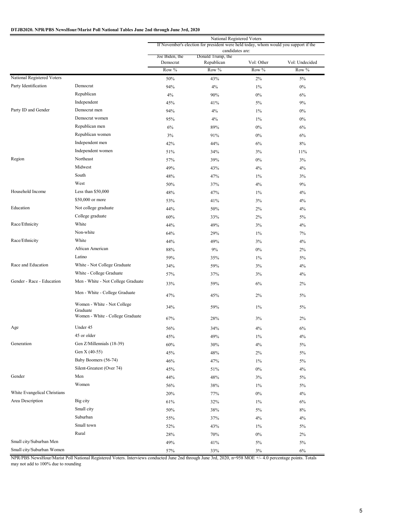### **DTJB2020. NPR/PBS NewsHour/Marist Poll National Tables June 2nd through June 3rd, 2020**

|                              |                                         | National Registered Voters<br>If November's election for president were held today, whom would you support if the |                                      |            |                |  |
|------------------------------|-----------------------------------------|-------------------------------------------------------------------------------------------------------------------|--------------------------------------|------------|----------------|--|
|                              |                                         | Joe Biden, the                                                                                                    | candidates are:<br>Donald Trump, the |            |                |  |
|                              |                                         | Democrat                                                                                                          | Republican                           | Vol: Other | Vol: Undecided |  |
|                              |                                         | Row %                                                                                                             | Row %                                | Row %      | Row %          |  |
| National Registered Voters   |                                         | 50%                                                                                                               | 43%                                  | 2%         | 5%             |  |
| Party Identification         | Democrat                                | 94%                                                                                                               | 4%                                   | $1\%$      | $0\%$          |  |
|                              | Republican                              | 4%                                                                                                                | 90%                                  | $0\%$      | 6%             |  |
|                              | Independent                             | 45%                                                                                                               | 41%                                  | $5\%$      | 9%             |  |
| Party ID and Gender          | Democrat men                            | 94%                                                                                                               | 4%                                   | $1\%$      | $0\%$          |  |
|                              | Democrat women                          | 95%                                                                                                               | 4%                                   | $1\%$      | $0\%$          |  |
|                              | Republican men                          | 6%                                                                                                                | 89%                                  | $0\%$      | 6%             |  |
|                              | Republican women                        | 3%                                                                                                                | 91%                                  | $0\%$      | 6%             |  |
|                              | Independent men                         | 42%                                                                                                               | 44%                                  | 6%         | 8%             |  |
|                              | Independent women                       | 51%                                                                                                               | 34%                                  | 3%         | 11%            |  |
| Region                       | Northeast                               | 57%                                                                                                               | 39%                                  | $0\%$      | 3%             |  |
|                              | Midwest                                 | 49%                                                                                                               | 43%                                  | 4%         | 4%             |  |
|                              | South                                   | 48%                                                                                                               | 47%                                  | $1\%$      | 3%             |  |
|                              | West                                    | 50%                                                                                                               | 37%                                  | 4%         | 9%             |  |
| Household Income             | Less than \$50,000                      | 48%                                                                                                               | 47%                                  | $1\%$      | 4%             |  |
|                              | \$50,000 or more                        | 53%                                                                                                               | 41%                                  | 3%         | 4%             |  |
| Education                    | Not college graduate                    | 44%                                                                                                               | 50%                                  | 2%         | 4%             |  |
|                              | College graduate                        | 60%                                                                                                               | 33%                                  | 2%         | 5%             |  |
| Race/Ethnicity               | White                                   | 44%                                                                                                               | 49%                                  | 3%         | 4%             |  |
|                              | Non-white                               | 64%                                                                                                               | 29%                                  | $1\%$      | 7%             |  |
| Race/Ethnicity               | White                                   | 44%                                                                                                               | 49%                                  | 3%         | 4%             |  |
|                              | African American                        | 88%                                                                                                               | 9%                                   | $0\%$      | 2%             |  |
|                              | Latino                                  | 59%                                                                                                               | 35%                                  | $1\%$      | 5%             |  |
| Race and Education           | White - Not College Graduate            | 34%                                                                                                               | 59%                                  | 3%         | 4%             |  |
|                              | White - College Graduate                | 57%                                                                                                               | 37%                                  | 3%         | 4%             |  |
| Gender - Race - Education    | Men - White - Not College Graduate      |                                                                                                                   |                                      |            |                |  |
|                              |                                         | 33%                                                                                                               | 59%                                  | 6%         | 2%             |  |
|                              | Men - White - College Graduate          | 47%                                                                                                               | 45%                                  | 2%         | 5%             |  |
|                              | Women - White - Not College<br>Graduate | 34%                                                                                                               | 59%                                  | $1\%$      | 5%             |  |
|                              | Women - White - College Graduate        | 67%                                                                                                               | 28%                                  | 3%         | 2%             |  |
| Age                          | Under 45                                | 56%                                                                                                               | 34%                                  | 4%         | 6%             |  |
|                              | 45 or older                             | 45%                                                                                                               | 49%                                  | $1\%$      | 4%             |  |
| Generation                   | Gen Z/Millennials (18-39)               | 60%                                                                                                               | 30%                                  | 4%         | $5\%$          |  |
|                              | Gen X (40-55)                           | 45%                                                                                                               | 48%                                  | $2\%$      | $5\%$          |  |
|                              | Baby Boomers (56-74)                    | 46%                                                                                                               | 47%                                  | $1\%$      | 5%             |  |
|                              | Silent-Greatest (Over 74)               | 45%                                                                                                               | 51%                                  | $0\%$      | 4%             |  |
| Gender                       | Men                                     | 44%                                                                                                               | 48%                                  | 3%         | 5%             |  |
|                              | Women                                   | 56%                                                                                                               | 38%                                  | $1\%$      | 5%             |  |
| White Evangelical Christians |                                         | 20%                                                                                                               | 77%                                  | $0\%$      | 4%             |  |
| Area Description             | Big city                                | 61%                                                                                                               | 32%                                  | $1\%$      | 6%             |  |
|                              | Small city                              | 50%                                                                                                               | 38%                                  | $5\%$      | $8\%$          |  |
|                              | Suburban                                | 55%                                                                                                               | 37%                                  | 4%         | 4%             |  |
|                              | Small town                              | 52%                                                                                                               | 43%                                  | $1\%$      | 5%             |  |
|                              | Rural                                   | 28%                                                                                                               | 70%                                  | $0\%$      | 2%             |  |
| Small city/Suburban Men      |                                         | 49%                                                                                                               | 41%                                  | $5\%$      | $5\%$          |  |
| Small city/Suburban Women    |                                         | 57%                                                                                                               | 33%                                  | $3\%$      | $6\%$          |  |
|                              |                                         |                                                                                                                   |                                      |            |                |  |

NPR/PBS NewsHour/Marist Poll National Registered Voters. Interviews conducted June 2nd through June 3rd, 2020, n=958 MOE +/- 4.0 percentage points. Totals may not add to 100% due to rounding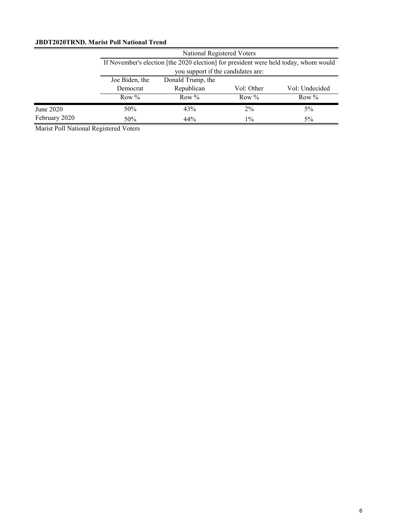# **JBDT2020TRND. Marist Poll National Trend**

|               | National Registered Voters |                                                                                      |            |                |  |  |
|---------------|----------------------------|--------------------------------------------------------------------------------------|------------|----------------|--|--|
|               |                            | If November's election [the 2020 election] for president were held today, whom would |            |                |  |  |
|               |                            | you support if the candidates are:                                                   |            |                |  |  |
|               | Joe Biden, the             | Donald Trump, the                                                                    |            |                |  |  |
|               | Democrat                   | Republican                                                                           | Vol: Other | Vol: Undecided |  |  |
|               | Row $%$                    | Row $\%$                                                                             | Row $\%$   | Row $\%$       |  |  |
| June 2020     | 50%                        | 43%                                                                                  | $2\%$      | 5%             |  |  |
| February 2020 | 50%                        | 44%                                                                                  | $1\%$      | $5\%$          |  |  |

Marist Poll National Registered Voters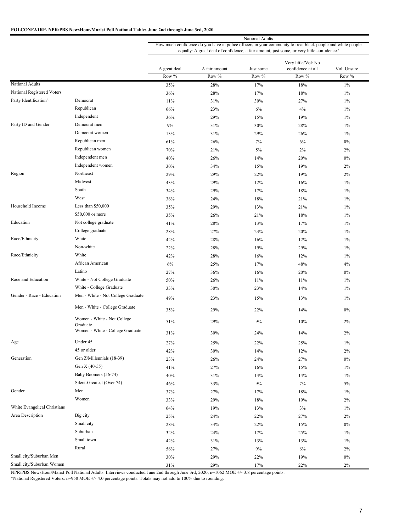### **POLCONFA1RP. NPR/PBS NewsHour/Marist Poll National Tables June 2nd through June 3rd, 2020**

|                              |                                         | National Adults                                                                                                                                                                                          |                        |                    |                                                   |                      |
|------------------------------|-----------------------------------------|----------------------------------------------------------------------------------------------------------------------------------------------------------------------------------------------------------|------------------------|--------------------|---------------------------------------------------|----------------------|
|                              |                                         | How much confidence do you have in police officers in your community to treat black people and white people<br>equally: A great deal of confidence, a fair amount, just some, or very little confidence? |                        |                    |                                                   |                      |
|                              |                                         | A great deal<br>Row $\overline{\%}$                                                                                                                                                                      | A fair amount<br>Row % | Just some<br>Row % | Very little/Vol: No<br>confidence at all<br>Row % | Vol: Unsure<br>Row % |
| National Adults              |                                         | 35%                                                                                                                                                                                                      | 28%                    | 17%                | 18%                                               | $1\%$                |
| National Registered Voters   |                                         | 36%                                                                                                                                                                                                      | 28%                    | 17%                | 18%                                               | $1\%$                |
| Party Identification^        | Democrat                                | 11%                                                                                                                                                                                                      | 31%                    | 30%                | 27%                                               | $1\%$                |
|                              | Republican                              | 66%                                                                                                                                                                                                      | 23%                    | 6%                 | 4%                                                | $1\%$                |
|                              | Independent                             | 36%                                                                                                                                                                                                      | 29%                    | 15%                | 19%                                               | $1\%$                |
| Party ID and Gender          | Democrat men                            | 9%                                                                                                                                                                                                       | 31%                    | 30%                | 28%                                               | $1\%$                |
|                              | Democrat women                          | 13%                                                                                                                                                                                                      | 31%                    | 29%                | 26%                                               | $1\%$                |
|                              | Republican men                          | 61%                                                                                                                                                                                                      | 26%                    | 7%                 | 6%                                                | $0\%$                |
|                              | Republican women                        | 70%                                                                                                                                                                                                      | 21%                    | $5\%$              | 2%                                                | 2%                   |
|                              | Independent men                         | 40%                                                                                                                                                                                                      | 26%                    | 14%                | 20%                                               | $0\%$                |
|                              | Independent women                       | 30%                                                                                                                                                                                                      | 34%                    | 15%                | 19%                                               | 2%                   |
| Region                       | Northeast                               |                                                                                                                                                                                                          |                        |                    | 19%                                               | 2%                   |
|                              | Midwest                                 | 29%<br>43%                                                                                                                                                                                               | 29%<br>29%             | 22%<br>12%         | 16%                                               | $1\%$                |
|                              | South                                   | 34%                                                                                                                                                                                                      | 29%                    | 17%                | 18%                                               | $1\%$                |
|                              | West                                    |                                                                                                                                                                                                          |                        | 18%                |                                                   |                      |
| Household Income             | Less than \$50,000                      | 36%                                                                                                                                                                                                      | 24%                    |                    | 21%                                               | $1\%$                |
|                              | \$50,000 or more                        | 35%                                                                                                                                                                                                      | 29%                    | 13%<br>21%         | 21%<br>18%                                        | $1\%$                |
| Education                    | Not college graduate                    | 35%                                                                                                                                                                                                      | 26%                    |                    |                                                   | $1\%$                |
|                              | College graduate                        | 41%                                                                                                                                                                                                      | 28%                    | 13%                | 17%                                               | $1\%$                |
| Race/Ethnicity               | White                                   | 28%                                                                                                                                                                                                      | 27%                    | 23%                | 20%                                               | $1\%$                |
|                              | Non-white                               | 42%                                                                                                                                                                                                      | 28%                    | 16%                | 12%                                               | $1\%$                |
|                              |                                         | 22%                                                                                                                                                                                                      | 28%                    | 19%                | 29%                                               | $1\%$                |
| Race/Ethnicity               | White                                   | 42%                                                                                                                                                                                                      | 28%                    | 16%                | 12%                                               | $1\%$                |
|                              | African American                        | 6%                                                                                                                                                                                                       | 25%                    | 17%                | 48%                                               | 4%                   |
|                              | Latino                                  | 27%                                                                                                                                                                                                      | 36%                    | 16%                | 20%                                               | $0\%$                |
| Race and Education           | White - Not College Graduate            | 50%                                                                                                                                                                                                      | 26%                    | 11%                | 11%                                               | $1\%$                |
|                              | White - College Graduate                | 33%                                                                                                                                                                                                      | 30%                    | 23%                | 14%                                               | $1\%$                |
| Gender - Race - Education    | Men - White - Not College Graduate      | 49%                                                                                                                                                                                                      | 23%                    | 15%                | 13%                                               | $1\%$                |
|                              | Men - White - College Graduate          | 35%                                                                                                                                                                                                      | 29%                    | 22%                | 14%                                               | 0%                   |
|                              | Women - White - Not College<br>Graduate | 51%                                                                                                                                                                                                      | 29%                    | 9%                 | 10%                                               | 2%                   |
|                              | Women - White - College Graduate        | 31%                                                                                                                                                                                                      | 30%                    | 24%                | 14%                                               | 2%                   |
| Age                          | Under 45                                | 27%                                                                                                                                                                                                      | 25%                    | 22%                | 25%                                               | $1\%$                |
|                              | 45 or older                             | 42%                                                                                                                                                                                                      | 30%                    | 14%                | 12%                                               | $2\%$                |
| Generation                   | Gen Z/Millennials (18-39)               | 23%                                                                                                                                                                                                      | 26%                    | 24%                | 27%                                               | $0\%$                |
|                              | Gen X (40-55)                           | 41%                                                                                                                                                                                                      | 27%                    | 16%                | 15%                                               | $1\%$                |
|                              | Baby Boomers (56-74)                    | 40%                                                                                                                                                                                                      | 31%                    | 14%                | 14%                                               | $1\%$                |
|                              | Silent-Greatest (Over 74)               | 46%                                                                                                                                                                                                      | 33%                    | 9%                 | 7%                                                | 5%                   |
| Gender                       | Men                                     | 37%                                                                                                                                                                                                      | 27%                    | 17%                | 18%                                               | $1\%$                |
|                              | Women                                   | 33%                                                                                                                                                                                                      | 29%                    | 18%                | 19%                                               | $2\%$                |
| White Evangelical Christians |                                         | 64%                                                                                                                                                                                                      | 19%                    | 13%                | 3%                                                | $1\%$                |
| Area Description             | Big city                                | 25%                                                                                                                                                                                                      | 24%                    | 22%                | 27%                                               | $2\%$                |
|                              | Small city                              | 28%                                                                                                                                                                                                      | 34%                    | 22%                | 15%                                               | $0\%$                |
|                              | Suburban                                | 32%                                                                                                                                                                                                      | 24%                    | 17%                | 25%                                               | $1\%$                |
|                              | Small town                              | 42%                                                                                                                                                                                                      | 31%                    | 13%                | 13%                                               | $1\%$                |
|                              | Rural                                   | 56%                                                                                                                                                                                                      | 27%                    | 9%                 | $6\%$                                             | $2\%$                |
| Small city/Suburban Men      |                                         | 30%                                                                                                                                                                                                      | 29%                    | 22%                | 19%                                               | $0\%$                |
| Small city/Suburban Women    |                                         | 31%                                                                                                                                                                                                      | 29%                    | 17%                | 22%                                               | $2\%$                |

NPR/PBS NewsHour/Marist Poll National Adults. Interviews conducted June 2nd through June 3rd, 2020, n=1062 MOE +/- 3.8 percentage points.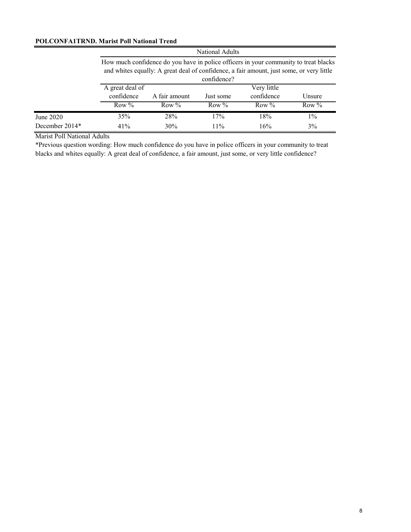### **POLCONFA1TRND. Marist Poll National Trend**

|                |                 |                                                                                                                                                                                  | <b>National Adults</b> |             |         |  |  |  |
|----------------|-----------------|----------------------------------------------------------------------------------------------------------------------------------------------------------------------------------|------------------------|-------------|---------|--|--|--|
|                |                 | How much confidence do you have in police officers in your community to treat blacks<br>and whites equally: A great deal of confidence, a fair amount, just some, or very little |                        |             |         |  |  |  |
|                |                 |                                                                                                                                                                                  | confidence?            |             |         |  |  |  |
|                | A great deal of |                                                                                                                                                                                  |                        | Very little |         |  |  |  |
|                | confidence      | A fair amount                                                                                                                                                                    | Just some              | confidence  | Unsure  |  |  |  |
|                | Row $%$         | Row $\%$                                                                                                                                                                         | Row $\%$               | Row $\%$    | Row $%$ |  |  |  |
| June 2020      | 35%             | 28%                                                                                                                                                                              | 17%                    | 18%         | $1\%$   |  |  |  |
| December 2014* | 41%             | 30%                                                                                                                                                                              | 11%                    | 16%         | 3%      |  |  |  |

Marist Poll National Adults

\*Previous question wording: How much confidence do you have in police officers in your community to treat blacks and whites equally: A great deal of confidence, a fair amount, just some, or very little confidence?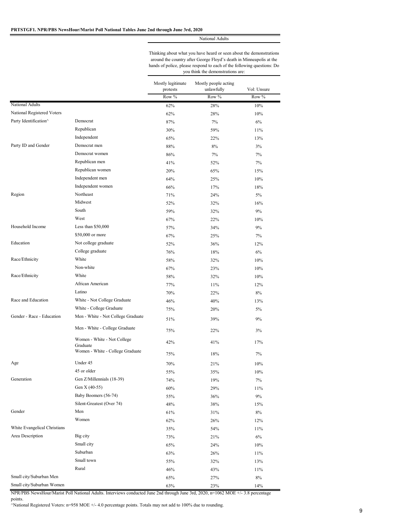Thinking about what you have heard or seen about the demonstrations around the country after George Floyd's death in Minneapolis at the hands of police, please respond to each of the following questions: Do you think the demonstrations are:

|                              |                                         | Mostly legitimate<br>protests | Mostly people acting<br>unlawfully | Vol: Unsure |
|------------------------------|-----------------------------------------|-------------------------------|------------------------------------|-------------|
|                              |                                         | Row %                         | Row %                              | Row %       |
| National Adults              |                                         | 62%                           | 28%                                | 10%         |
| National Registered Voters   |                                         | 62%                           | 28%                                | 10%         |
| Party Identification^        | Democrat                                | 87%                           | 7%                                 | 6%          |
|                              | Republican                              | 30%                           | 59%                                | 11%         |
|                              | Independent                             | 65%                           | 22%                                | 13%         |
| Party ID and Gender          | Democrat men                            | 88%                           | 8%                                 | 3%          |
|                              | Democrat women                          | 86%                           | 7%                                 | 7%          |
|                              | Republican men                          | 41%                           | 52%                                | 7%          |
|                              | Republican women                        | 20%                           | 65%                                | 15%         |
|                              | Independent men                         | 64%                           | 25%                                | 10%         |
|                              | Independent women                       | 66%                           | 17%                                | 18%         |
| Region                       | Northeast                               | 71%                           | 24%                                | 5%          |
|                              | Midwest                                 | 52%                           | 32%                                | 16%         |
|                              | South                                   | 59%                           | 32%                                | 9%          |
|                              | West                                    | 67%                           | 22%                                | 10%         |
| Household Income             | Less than \$50,000                      | 57%                           | 34%                                | 9%          |
|                              | \$50,000 or more                        | 67%                           | 25%                                | 7%          |
| Education                    | Not college graduate                    | 52%                           | 36%                                | 12%         |
|                              | College graduate                        | 76%                           | 18%                                | 6%          |
| Race/Ethnicity               | White                                   | 58%                           | 32%                                | 10%         |
|                              | Non-white                               | 67%                           | 23%                                | 10%         |
| Race/Ethnicity               | White                                   | 58%                           | 32%                                | 10%         |
|                              | African American                        | 77%                           | 11%                                | 12%         |
|                              | Latino                                  | 70%                           | 22%                                | $8\%$       |
| Race and Education           | White - Not College Graduate            | 46%                           | 40%                                | 13%         |
|                              | White - College Graduate                | 75%                           | 20%                                | $5\%$       |
| Gender - Race - Education    | Men - White - Not College Graduate      | 51%                           | 39%                                | 9%          |
|                              | Men - White - College Graduate          | 75%                           | 22%                                | 3%          |
|                              | Women - White - Not College<br>Graduate | 42%                           | 41%                                | 17%         |
|                              | Women - White - College Graduate        | 75%                           | 18%                                | 7%          |
| Age                          | Under 45                                | 70%                           | 21%                                | 10%         |
|                              | 45 or older                             | 55%                           | 35%                                | 10%         |
| Generation                   | Gen Z/Millennials (18-39)               | 74%                           | 19%                                | $7\%$       |
|                              | Gen X (40-55)                           | $60\%$                        | 29%                                | 11%         |
|                              | Baby Boomers (56-74)                    | 55%                           | 36%                                | 9%          |
|                              | Silent-Greatest (Over 74)               | 48%                           | 38%                                | 15%         |
| Gender                       | Men                                     | 61%                           | 31%                                | $8\%$       |
|                              | Women                                   | 62%                           | 26%                                | 12%         |
| White Evangelical Christians |                                         | 35%                           | 54%                                | 11%         |
| Area Description             | Big city                                | 73%                           | 21%                                | 6%          |
|                              | Small city                              | 65%                           | 24%                                | 10%         |
|                              | Suburban                                | 63%                           | 26%                                | 11%         |
|                              | Small town                              | 55%                           | 32%                                | 13%         |
|                              | Rural                                   | 46%                           | 43%                                | 11%         |
| Small city/Suburban Men      |                                         | 65%                           | 27%                                | $8\%$       |
| Small city/Suburban Women    |                                         | 63%                           | 23%                                | 14%         |

NPR/PBS NewsHour/Marist Poll National Adults. Interviews conducted June 2nd through June 3rd, 2020, n=1062 MOE +/- 3.8 percentage points.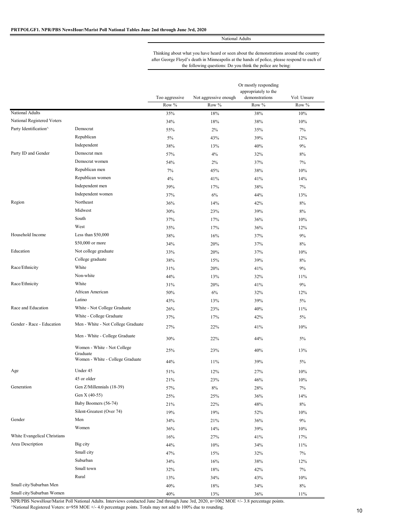Thinking about what you have heard or seen about the demonstrations around the country after George Floyd's death in Minneapolis at the hands of police, please respond to each of the following questions: Do you think the police are being:

|                              |                                         | Or mostly responding<br>appropriately to the |                       |                |             |
|------------------------------|-----------------------------------------|----------------------------------------------|-----------------------|----------------|-------------|
|                              |                                         | Too aggressive                               | Not aggressive enough | demonstrations | Vol: Unsure |
| National Adults              |                                         | Row %                                        | Row %                 | Row %          | Row %       |
| National Registered Voters   |                                         | 35%                                          | 18%                   | 38%            | 10%         |
| Party Identification^        | Democrat                                | 34%                                          | 18%                   | 38%            | 10%         |
|                              | Republican                              | 55%                                          | $2\%$                 | 35%            | 7%          |
|                              | Independent                             | 5%                                           | 43%                   | 39%            | 12%         |
| Party ID and Gender          | Democrat men                            | 38%                                          | 13%                   | 40%            | 9%          |
|                              | Democrat women                          | 57%                                          | 4%                    | 32%            | 8%          |
|                              | Republican men                          | 54%                                          | 2%                    | 37%            | 7%          |
|                              | Republican women                        | 7%                                           | 45%                   | 38%            | 10%         |
|                              | Independent men                         | 4%                                           | 41%                   | 41%            | 14%         |
|                              | Independent women                       | 39%                                          | 17%                   | 38%            | 7%          |
| Region                       | Northeast                               | 37%                                          | 6%                    | 44%            | 13%         |
|                              | Midwest                                 | 36%                                          | 14%                   | 42%            | 8%          |
|                              | South                                   | 30%                                          | 23%                   | 39%            | 8%          |
|                              | West                                    | 37%                                          | 17%                   | 36%            | 10%         |
| Household Income             | Less than \$50,000                      | 35%                                          | 17%                   | 36%            | 12%         |
|                              | \$50,000 or more                        | 38%                                          | 16%                   | 37%            | 9%          |
| Education                    | Not college graduate                    | 34%                                          | 20%                   | 37%            | 8%          |
|                              | College graduate                        | 33%                                          | 20%                   | 37%            | 10%         |
| Race/Ethnicity               | White                                   | 38%                                          | 15%                   | 39%            | 8%          |
|                              | Non-white                               | 31%                                          | 20%                   | 41%            | 9%          |
|                              | White                                   | 44%                                          | 13%                   | 32%            | 11%         |
| Race/Ethnicity               | African American                        | 31%                                          | 20%                   | 41%            | 9%          |
|                              | Latino                                  | 50%                                          | 6%                    | 32%            | 12%         |
| Race and Education           |                                         | 43%                                          | 13%                   | 39%            | 5%          |
|                              | White - Not College Graduate            | 26%                                          | 23%                   | 40%            | 11%         |
| Gender - Race - Education    | White - College Graduate                | 37%                                          | 17%                   | 42%            | 5%          |
|                              | Men - White - Not College Graduate      | 27%                                          | 22%                   | 41%            | 10%         |
|                              | Men - White - College Graduate          | 30%                                          | 22%                   | 44%            | 5%          |
|                              | Women - White - Not College<br>Graduate | 25%                                          | 23%                   | 40%            | 13%         |
|                              | Women - White - College Graduate        | 44%                                          | 11%                   | 39%            | 5%          |
| Age                          | Under 45                                | 51%                                          | 12%                   | 27%            | 10%         |
|                              | 45 or older                             | 21%                                          | 23%                   | 46%            | 10%         |
| Generation                   | Gen Z/Millennials (18-39)               | 57%                                          | 8%                    | 28%            | 7%          |
|                              | Gen X (40-55)                           | 25%                                          | 25%                   | 36%            | 14%         |
|                              | Baby Boomers (56-74)                    | 21%                                          | 22%                   | 48%            | 8%          |
|                              | Silent-Greatest (Over 74)               | 19%                                          | 19%                   | 52%            | 10%         |
| Gender                       | Men                                     | 34%                                          | 21%                   | 36%            | 9%          |
|                              | Women                                   | 36%                                          | 14%                   | 39%            | 10%         |
| White Evangelical Christians |                                         | 16%                                          | 27%                   | 41%            | 17%         |
| Area Description             | Big city                                | 44%                                          | 10%                   | 34%            | 11%         |
|                              | Small city                              | 47%                                          | 15%                   | 32%            | 7%          |
|                              | Suburban                                | 34%                                          | 16%                   | 38%            | 12%         |
|                              | Small town                              | 32%                                          | 18%                   | 42%            | 7%          |
|                              | Rural                                   | 13%                                          | 34%                   | 43%            | 10%         |
| Small city/Suburban Men      |                                         | 40%                                          | 18%                   | 34%            | 8%          |
| Small city/Suburban Women    |                                         | 40%                                          | 13%                   | 36%            | 11%         |

NPR/PBS NewsHour/Marist Poll National Adults. Interviews conducted June 2nd through June 3rd, 2020, n=1062 MOE +/- 3.8 percentage points. ^National Registered Voters: n=958 MOE +/- 4.0 percentage points. Totals may not add to 100% due to rounding.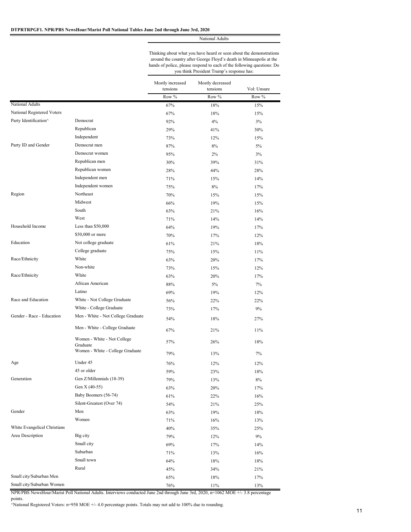Thinking about what you have heard or seen about the demonstrations around the country after George Floyd's death in Minneapolis at the hands of police, please respond to each of the following questions: Do you think President Trump's response has:

|                              |                                                                                                                                   | Mostly increased | Mostly decreased |             |
|------------------------------|-----------------------------------------------------------------------------------------------------------------------------------|------------------|------------------|-------------|
|                              |                                                                                                                                   | tensions         | tensions         | Vol: Unsure |
|                              |                                                                                                                                   | Row %            | Row %            | Row %       |
| National Adults              |                                                                                                                                   | 67%              | 18%              | 15%         |
| National Registered Voters   |                                                                                                                                   | 67%              | 18%              | 15%         |
| Party Identification^        | Democrat                                                                                                                          | 92%              | 4%               | 3%          |
|                              | Republican                                                                                                                        | 29%              | 41%              | 30%         |
|                              | Independent                                                                                                                       | 73%              | 12%              | 15%         |
| Party ID and Gender          | Democrat men                                                                                                                      | 87%              | 8%               | 5%          |
|                              | Democrat women                                                                                                                    | 95%              | 2%               | 3%          |
|                              | Republican men                                                                                                                    | 30%              | 39%              | 31%         |
|                              | Republican women                                                                                                                  | 28%              | 44%              | 28%         |
|                              | Independent men                                                                                                                   | 71%              | 15%              | 14%         |
|                              | Independent women                                                                                                                 | 75%              | $8\%$            | 17%         |
| Region                       | Northeast                                                                                                                         | 70%              | 15%              | 15%         |
|                              | Midwest                                                                                                                           | 66%              | 19%              | 15%         |
|                              | South                                                                                                                             | 63%              | 21%              | 16%         |
|                              | West                                                                                                                              | 71%              | 14%              | 14%         |
| Household Income             | Less than \$50,000                                                                                                                | 64%              | 19%              | 17%         |
|                              | \$50,000 or more                                                                                                                  | 70%              | 17%              | 12%         |
| Education                    | Not college graduate                                                                                                              | 61%              | 21%              | 18%         |
|                              | College graduate                                                                                                                  | 75%              | 15%              | 11%         |
| Race/Ethnicity               | White                                                                                                                             | 63%              | 20%              | 17%         |
|                              | Non-white                                                                                                                         | 73%              | 15%              | 12%         |
| Race/Ethnicity               | White                                                                                                                             | 63%              | 20%              | 17%         |
|                              | African American                                                                                                                  | 88%              | $5\%$            | 7%          |
|                              | Latino                                                                                                                            | 69%              | 19%              | 12%         |
| Race and Education           | White - Not College Graduate                                                                                                      | 56%              | 22%              | 22%         |
|                              | White - College Graduate                                                                                                          | 73%              | 17%              | 9%          |
| Gender - Race - Education    | Men - White - Not College Graduate                                                                                                | 54%              | 18%              | 27%         |
|                              | Men - White - College Graduate                                                                                                    | 67%              | 21%              | 11%         |
|                              | Women - White - Not College                                                                                                       | 57%              | 26%              | 18%         |
|                              | Graduate<br>Women - White - College Graduate                                                                                      | 79%              | 13%              | 7%          |
| Age                          | Under 45                                                                                                                          | 76%              | 12%              | 12%         |
|                              | 45 or older                                                                                                                       | 59%              | 23%              | 18%         |
| Generation                   | Gen Z/Millennials (18-39)                                                                                                         | 79%              | $13\%$           | $8\%$       |
|                              | Gen X (40-55)                                                                                                                     | 63%              | 20%              | 17%         |
|                              | Baby Boomers (56-74)                                                                                                              | 61%              | 22%              | 16%         |
|                              | Silent-Greatest (Over 74)                                                                                                         | 54%              | 21%              | 25%         |
| Gender                       | Men                                                                                                                               | 63%              | 19%              | 18%         |
|                              | Women                                                                                                                             | 71%              | 16%              | 13%         |
| White Evangelical Christians |                                                                                                                                   | 40%              | 35%              | 25%         |
| Area Description             | Big city                                                                                                                          | 79%              | 12%              | 9%          |
|                              | Small city                                                                                                                        | 69%              |                  | 14%         |
|                              | Suburban                                                                                                                          |                  | 17%              |             |
|                              | Small town                                                                                                                        | 71%              | 13%              | 16%         |
|                              | Rural                                                                                                                             | 64%              | 18%              | 18%         |
|                              |                                                                                                                                   | 45%              | 34%              | 21%         |
| Small city/Suburban Men      |                                                                                                                                   | 65%              | 18%              | 17%         |
| Small city/Suburban Women    | NPR/PBS NewsHour/Marist Poll National Adults. Interviews conducted June 2nd through June 3rd, 2020, n=1062 MOE +/- 3.8 percentage | 76%              | 11%              | 13%         |

NPR/PBS NewsHour/Marist Poll National Adults. Interviews conducted June 2nd through June 3rd, 2020, n=1062 MOE +/- 3.8 percentage points.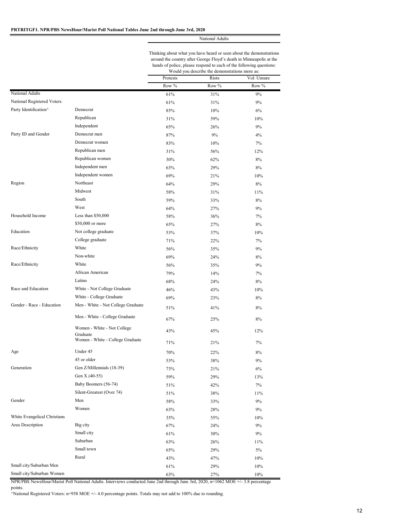|                              |                                         | Thinking about what you have heard or seen about the demonstrations<br>around the country after George Floyd's death in Minneapolis at the<br>hands of police, please respond to each of the following questions:<br>Would you describe the demonstrations more as: |       |             |  |
|------------------------------|-----------------------------------------|---------------------------------------------------------------------------------------------------------------------------------------------------------------------------------------------------------------------------------------------------------------------|-------|-------------|--|
|                              |                                         | Protests                                                                                                                                                                                                                                                            | Riots | Vol: Unsure |  |
|                              |                                         | Row %                                                                                                                                                                                                                                                               | Row % | Row %       |  |
| National Adults              |                                         | 61%                                                                                                                                                                                                                                                                 | 31%   | 9%          |  |
| National Registered Voters   |                                         | 61%                                                                                                                                                                                                                                                                 | 31%   | 9%          |  |
| Party Identification^        | Democrat                                | 85%                                                                                                                                                                                                                                                                 | 10%   | 6%          |  |
|                              | Republican                              | 31%                                                                                                                                                                                                                                                                 | 59%   | 10%         |  |
|                              | Independent                             | 65%                                                                                                                                                                                                                                                                 | 26%   | 9%          |  |
| Party ID and Gender          | Democrat men                            | 87%                                                                                                                                                                                                                                                                 | 9%    | 4%          |  |
|                              | Democrat women                          | 83%                                                                                                                                                                                                                                                                 | 10%   | 7%          |  |
|                              | Republican men                          | 31%                                                                                                                                                                                                                                                                 | 56%   | 12%         |  |
|                              | Republican women                        | 30%                                                                                                                                                                                                                                                                 | 62%   | 8%          |  |
|                              | Independent men                         | 63%                                                                                                                                                                                                                                                                 | 29%   | 8%          |  |
|                              | Independent women                       | 69%                                                                                                                                                                                                                                                                 | 21%   | 10%         |  |
| Region                       | Northeast                               | 64%                                                                                                                                                                                                                                                                 | 29%   | 8%          |  |
|                              | Midwest                                 | 58%                                                                                                                                                                                                                                                                 | 31%   | 11%         |  |
|                              | South                                   | 59%                                                                                                                                                                                                                                                                 | 33%   | 8%          |  |
|                              | West                                    | 64%                                                                                                                                                                                                                                                                 | 27%   | 9%          |  |
| Household Income             | Less than \$50,000                      | 58%                                                                                                                                                                                                                                                                 | 36%   | 7%          |  |
|                              | \$50,000 or more                        | 65%                                                                                                                                                                                                                                                                 | 27%   | 8%          |  |
| Education                    | Not college graduate                    | 53%                                                                                                                                                                                                                                                                 | 37%   | 10%         |  |
|                              | College graduate                        | 71%                                                                                                                                                                                                                                                                 | 22%   | 7%          |  |
| Race/Ethnicity               | White                                   | 56%                                                                                                                                                                                                                                                                 | 35%   | 9%          |  |
|                              | Non-white                               | 69%                                                                                                                                                                                                                                                                 | 24%   | 8%          |  |
| Race/Ethnicity               | White                                   | 56%                                                                                                                                                                                                                                                                 | 35%   | 9%          |  |
|                              | African American                        |                                                                                                                                                                                                                                                                     |       |             |  |
|                              | Latino                                  | 79%                                                                                                                                                                                                                                                                 | 14%   | 7%          |  |
| Race and Education           | White - Not College Graduate            | 68%                                                                                                                                                                                                                                                                 | 24%   | 8%          |  |
|                              | White - College Graduate                | 46%                                                                                                                                                                                                                                                                 | 43%   | 10%         |  |
| Gender - Race - Education    | Men - White - Not College Graduate      | 69%                                                                                                                                                                                                                                                                 | 23%   | 8%          |  |
|                              | Men - White - College Graduate          | 51%                                                                                                                                                                                                                                                                 | 41%   | 8%          |  |
|                              |                                         | 67%                                                                                                                                                                                                                                                                 | 25%   | 8%          |  |
|                              | Women - White - Not College<br>Graduate | 43%                                                                                                                                                                                                                                                                 | 45%   | 12%         |  |
|                              | Women - White - College Graduate        | 71%                                                                                                                                                                                                                                                                 | 21%   | 7%          |  |
| Age                          | Under 45                                | $70\%$                                                                                                                                                                                                                                                              | 22%   | $8\%$       |  |
|                              | 45 or older                             | 53%                                                                                                                                                                                                                                                                 | 38%   | 9%          |  |
| Generation                   | Gen Z/Millennials (18-39)               | 73%                                                                                                                                                                                                                                                                 | 21%   | 6%          |  |
|                              | Gen X (40-55)                           | 59%                                                                                                                                                                                                                                                                 | 29%   | 13%         |  |
|                              | Baby Boomers (56-74)                    | 51%                                                                                                                                                                                                                                                                 | 42%   | 7%          |  |
|                              | Silent-Greatest (Over 74)               | 51%                                                                                                                                                                                                                                                                 | 38%   | 11%         |  |
| Gender                       | Men                                     | 58%                                                                                                                                                                                                                                                                 | 33%   | 9%          |  |
|                              | Women                                   | 63%                                                                                                                                                                                                                                                                 | 28%   | 9%          |  |
| White Evangelical Christians |                                         | 35%                                                                                                                                                                                                                                                                 | 55%   | 10%         |  |
| Area Description             | Big city                                | 67%                                                                                                                                                                                                                                                                 | 24%   | 9%          |  |
|                              | Small city                              | 61%                                                                                                                                                                                                                                                                 | 30%   | 9%          |  |
|                              | Suburban                                | 63%                                                                                                                                                                                                                                                                 | 26%   | 11%         |  |
|                              | Small town                              | $65\%$                                                                                                                                                                                                                                                              | 29%   | 5%          |  |
|                              | Rural                                   | 43%                                                                                                                                                                                                                                                                 | 47%   | 10%         |  |
| Small city/Suburban Men      |                                         | 61%                                                                                                                                                                                                                                                                 | 29%   | 10%         |  |

Small city/Suburban Women 63% 27% 10%

NPR/PBS NewsHour/Marist Poll National Adults. Interviews conducted June 2nd through June 3rd, 2020, n=1062 MOE +/- 3.8 percentage points.